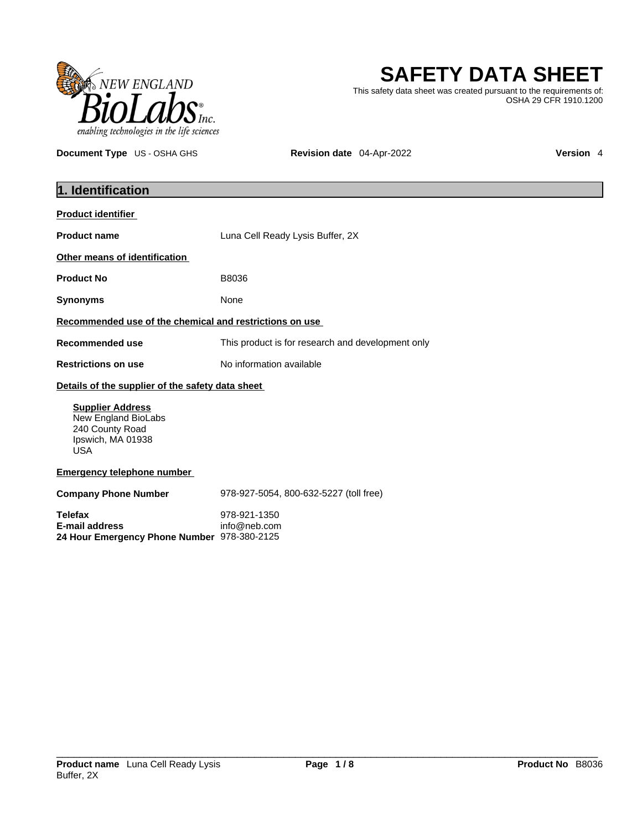

# **SAFETY DATA SHEET**

This safety data sheet was created pursuant to the requirements of: OSHA 29 CFR 1910.1200

**Document Type** US - OSHA GHS **Revision date** 04-Apr-2022 **Version 4** 

| 1. Identification                                                                                    |                                                   |
|------------------------------------------------------------------------------------------------------|---------------------------------------------------|
| <b>Product identifier</b>                                                                            |                                                   |
| <b>Product name</b>                                                                                  | Luna Cell Ready Lysis Buffer, 2X                  |
| Other means of identification                                                                        |                                                   |
| <b>Product No</b>                                                                                    | B8036                                             |
| <b>Synonyms</b>                                                                                      | None                                              |
| Recommended use of the chemical and restrictions on use                                              |                                                   |
| <b>Recommended use</b>                                                                               | This product is for research and development only |
| <b>Restrictions on use</b>                                                                           | No information available                          |
| Details of the supplier of the safety data sheet                                                     |                                                   |
| <b>Supplier Address</b><br>New England BioLabs<br>240 County Road<br>Ipswich, MA 01938<br><b>USA</b> |                                                   |
| <b>Emergency telephone number</b>                                                                    |                                                   |
| <b>Company Phone Number</b>                                                                          | 978-927-5054, 800-632-5227 (toll free)            |
| <b>Telefax</b><br><b>E-mail address</b><br>24 Hour Emergency Phone Number 978-380-2125               | 978-921-1350<br>info@neb.com                      |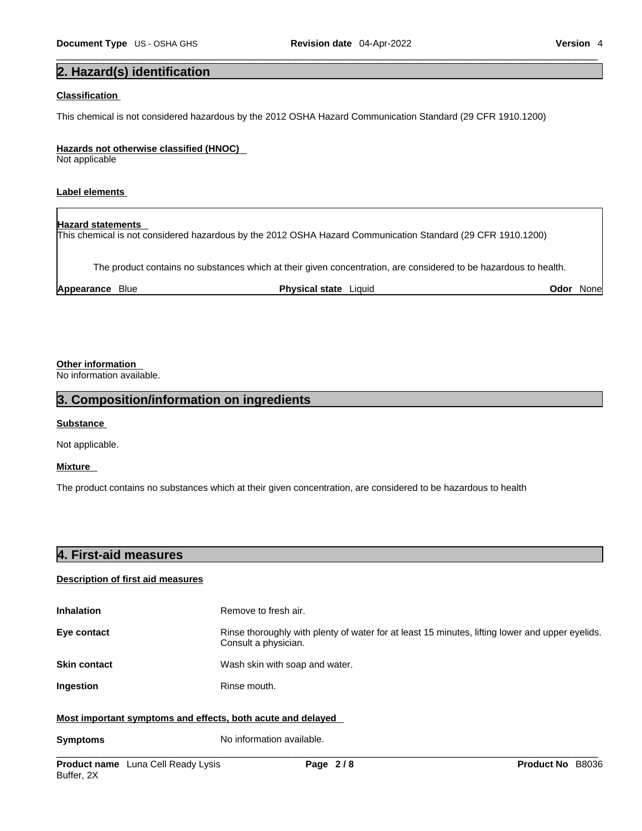## **2. Hazard(s) identification**

#### **Classification**

This chemical is not considered hazardous by the 2012 OSHA Hazard Communication Standard (29 CFR 1910.1200)

#### **Hazards not otherwise classified (HNOC)**

Not applicable

## **Label elements**

## **Hazard statements**

This chemical is not considered hazardous by the 2012 OSHA Hazard Communication Standard (29 CFR 1910.1200)

The product contains no substances which at their given concentration, are considered to be hazardous to health.

**Appearance** Blue **Physical state** Liquid **Odor** None

## **Other information**

No information available.

## **3. Composition/information on ingredients**

#### **Substance**

Not applicable.

## **Mixture**

The product contains no substances which at their given concentration, are considered to be hazardous to health

| 4. First-aid measures |  |  |
|-----------------------|--|--|
|                       |  |  |

## **Description of first aid measures**

| <b>Inhalation</b>                                           | Remove to fresh air.                                                                                                    |
|-------------------------------------------------------------|-------------------------------------------------------------------------------------------------------------------------|
| Eye contact                                                 | Rinse thoroughly with plenty of water for at least 15 minutes, lifting lower and upper eyelids.<br>Consult a physician. |
| <b>Skin contact</b>                                         | Wash skin with soap and water.                                                                                          |
| Ingestion                                                   | Rinse mouth.                                                                                                            |
| Most important symptoms and effects, both acute and delayed |                                                                                                                         |

**Symptoms** No information available.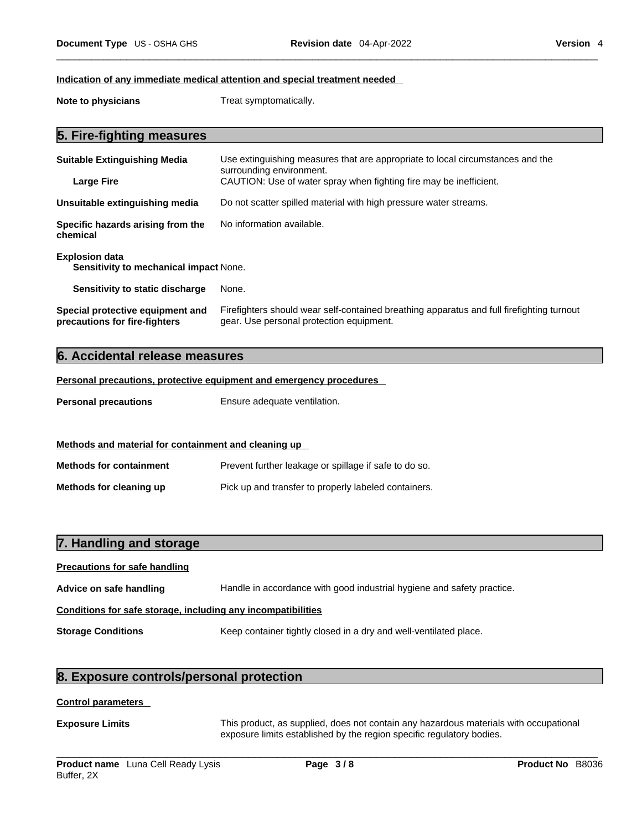#### **Indication of any immediate medical attention and special treatment needed**

**Note to physicians** Treat symptomatically.

## **5. Fire-fighting measures**

| <b>Suitable Extinguishing Media</b>                               | Use extinguishing measures that are appropriate to local circumstances and the<br>surrounding environment.                            |
|-------------------------------------------------------------------|---------------------------------------------------------------------------------------------------------------------------------------|
| <b>Large Fire</b>                                                 | CAUTION: Use of water spray when fighting fire may be inefficient.                                                                    |
| Unsuitable extinguishing media                                    | Do not scatter spilled material with high pressure water streams.                                                                     |
| Specific hazards arising from the<br>chemical                     | No information available.                                                                                                             |
| <b>Explosion data</b><br>Sensitivity to mechanical impact None.   |                                                                                                                                       |
| Sensitivity to static discharge                                   | None.                                                                                                                                 |
| Special protective equipment and<br>precautions for fire-fighters | Firefighters should wear self-contained breathing apparatus and full firefighting turnout<br>gear. Use personal protection equipment. |

## **6. Accidental release measures**

**Personal precautions, protective equipment and emergency procedures**

**Personal precautions** Ensure adequate ventilation.

## **Methods and material for containment and cleaning up**

**Methods for containment** Prevent further leakage or spillage if safe to do so. **Methods for cleaning up** Pick up and transfer to properly labeled containers.

## **7. Handling and storage**

# **Precautions for safe handling Advice on safe handling** Handle in accordance with good industrial hygiene and safety practice. **Conditions for safe storage, including any incompatibilities Storage Conditions** Keep container tightly closed in a dry and well-ventilated place.

## **8. Exposure controls/personal protection**

#### **Control parameters**

**Exposure Limits** This product, as supplied, does not contain any hazardous materials with occupational exposure limits established by the region specific regulatory bodies.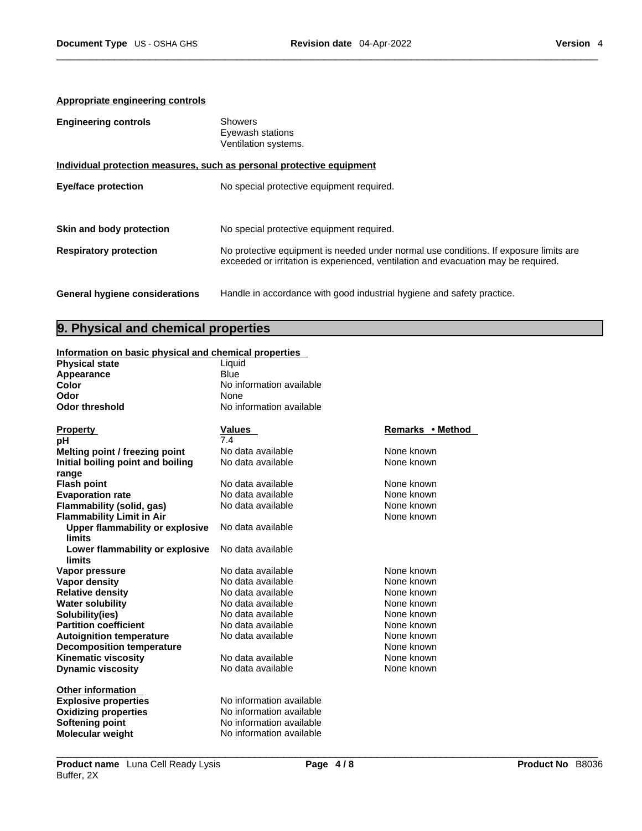## **Appropriate engineering controls**

| <b>Engineering controls</b>           | Showers<br>Eyewash stations<br>Ventilation systems.                                                                                                                         |
|---------------------------------------|-----------------------------------------------------------------------------------------------------------------------------------------------------------------------------|
|                                       | Individual protection measures, such as personal protective equipment                                                                                                       |
| <b>Eye/face protection</b>            | No special protective equipment required.                                                                                                                                   |
| Skin and body protection              | No special protective equipment required.                                                                                                                                   |
| <b>Respiratory protection</b>         | No protective equipment is needed under normal use conditions. If exposure limits are<br>exceeded or irritation is experienced, ventilation and evacuation may be required. |
| <b>General hygiene considerations</b> | Handle in accordance with good industrial hygiene and safety practice.                                                                                                      |

## **9. Physical and chemical properties**

## **Information on basic physical and chemical properties**

| information on basic physical and chemical properties |                          |                  |
|-------------------------------------------------------|--------------------------|------------------|
| <b>Physical state</b>                                 | Liquid                   |                  |
| Appearance                                            | <b>Blue</b>              |                  |
| Color                                                 | No information available |                  |
| Odor                                                  | None                     |                  |
| <b>Odor threshold</b>                                 | No information available |                  |
|                                                       |                          |                  |
| <b>Property</b>                                       | <b>Values</b>            | Remarks • Method |
| рH                                                    | 7.4                      |                  |
| Melting point / freezing point                        | No data available        | None known       |
| Initial boiling point and boiling                     | No data available        | None known       |
| range                                                 |                          |                  |
| <b>Flash point</b>                                    | No data available        | None known       |
| <b>Evaporation rate</b>                               | No data available        | None known       |
| Flammability (solid, gas)                             | No data available        | None known       |
| <b>Flammability Limit in Air</b>                      |                          | None known       |
| <b>Upper flammability or explosive</b>                | No data available        |                  |
| <b>limits</b>                                         |                          |                  |
| Lower flammability or explosive                       | No data available        |                  |
| limits                                                |                          |                  |
| Vapor pressure                                        | No data available        | None known       |
| Vapor density                                         | No data available        | None known       |
| <b>Relative density</b>                               | No data available        | None known       |
| <b>Water solubility</b>                               | No data available        | None known       |
| Solubility(ies)                                       | No data available        | None known       |
| <b>Partition coefficient</b>                          | No data available        | None known       |
| <b>Autoignition temperature</b>                       | No data available        | None known       |
| <b>Decomposition temperature</b>                      |                          | None known       |
| <b>Kinematic viscosity</b>                            | No data available        | None known       |
| <b>Dynamic viscosity</b>                              | No data available        | None known       |
|                                                       |                          |                  |
| <b>Other information</b>                              | No information available |                  |
| <b>Explosive properties</b>                           | No information available |                  |
| <b>Oxidizing properties</b>                           |                          |                  |
| <b>Softening point</b>                                | No information available |                  |
| Molecular weight                                      | No information available |                  |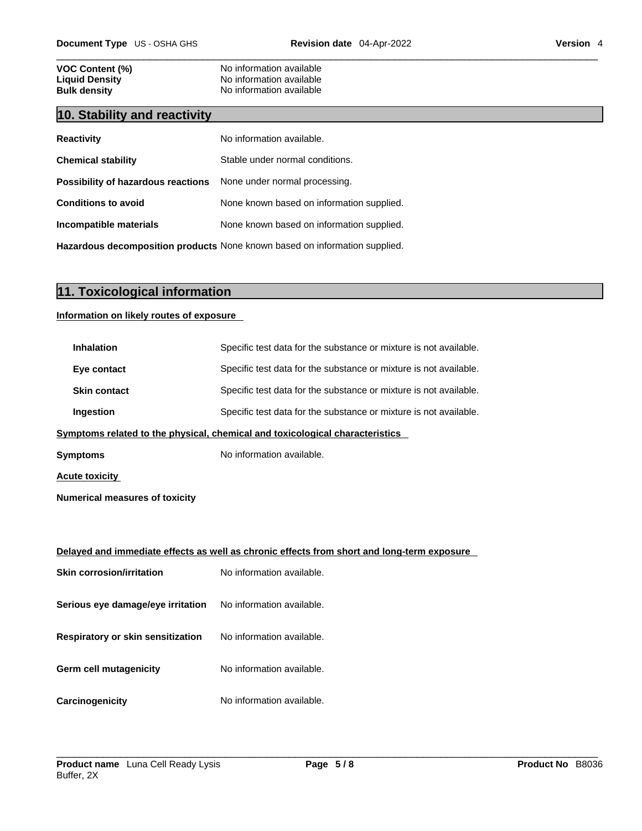| <b>VOC Content (%)</b> |  |
|------------------------|--|
| <b>Liquid Density</b>  |  |
| <b>Bulk density</b>    |  |

## **10. Stability and reactivity**

| <b>Reactivity</b>                                                       | No information available.                 |
|-------------------------------------------------------------------------|-------------------------------------------|
| <b>Chemical stability</b>                                               | Stable under normal conditions.           |
| <b>Possibility of hazardous reactions</b> None under normal processing. |                                           |
| <b>Conditions to avoid</b>                                              | None known based on information supplied. |
| Incompatible materials                                                  | None known based on information supplied. |
|                                                                         |                                           |

**No information available No information available No information available** 

**Hazardous decomposition products** None known based on information supplied.

# **11. Toxicological information**

## **Information on likely routes of exposure**

| <b>Inhalation</b>                        | Specific test data for the substance or mixture is not available.                          |
|------------------------------------------|--------------------------------------------------------------------------------------------|
| Eye contact                              | Specific test data for the substance or mixture is not available.                          |
| <b>Skin contact</b>                      | Specific test data for the substance or mixture is not available.                          |
| Ingestion                                | Specific test data for the substance or mixture is not available.                          |
|                                          | Symptoms related to the physical, chemical and toxicological characteristics               |
| Symptoms                                 | No information available.                                                                  |
| <b>Acute toxicity</b>                    |                                                                                            |
| <b>Numerical measures of toxicity</b>    |                                                                                            |
|                                          |                                                                                            |
|                                          | Delayed and immediate effects as well as chronic effects from short and long-term exposure |
| <b>Skin corrosion/irritation</b>         | No information available.                                                                  |
| Serious eye damage/eye irritation        | No information available.                                                                  |
| <b>Respiratory or skin sensitization</b> | No information available.                                                                  |
| Germ cell mutagenicity                   | No information available.                                                                  |
| Carcinogenicity                          | No information available.                                                                  |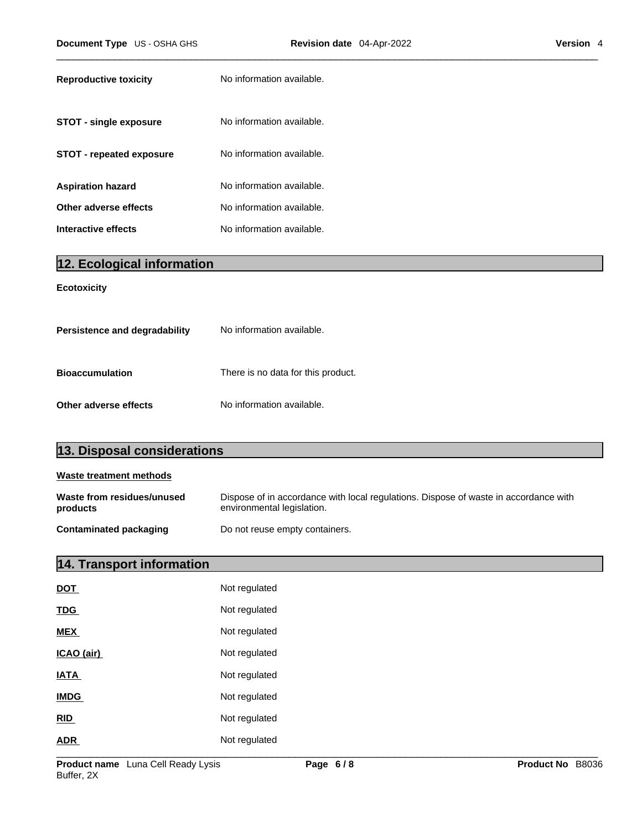| <b>Reproductive toxicity</b> | No information available. |
|------------------------------|---------------------------|
| STOT - single exposure       | No information available. |
| STOT - repeated exposure     | No information available. |
| <b>Aspiration hazard</b>     | No information available. |
| Other adverse effects        | No information available. |
| Interactive effects          | No information available. |

# **12. Ecological information**

## **Ecotoxicity**

| Persistence and degradability | No information available.          |
|-------------------------------|------------------------------------|
| <b>Bioaccumulation</b>        | There is no data for this product. |
| Other adverse effects         | No information available.          |

| 13. Disposal considerations            |                                                                                                                    |
|----------------------------------------|--------------------------------------------------------------------------------------------------------------------|
| Waste treatment methods                |                                                                                                                    |
| Waste from residues/unused<br>products | Dispose of in accordance with local regulations. Dispose of waste in accordance with<br>environmental legislation. |

| <b>Contaminated packaging</b> | Do not reuse empty containers. |
|-------------------------------|--------------------------------|
|-------------------------------|--------------------------------|

# **14. Transport information**

| <b>DOT</b>  | Not regulated |
|-------------|---------------|
| <b>TDG</b>  | Not regulated |
| <b>MEX</b>  | Not regulated |
| ICAO (air)  | Not regulated |
| <b>IATA</b> | Not regulated |
| <b>IMDG</b> | Not regulated |
| RID         | Not regulated |
| <b>ADR</b>  | Not regulated |
|             |               |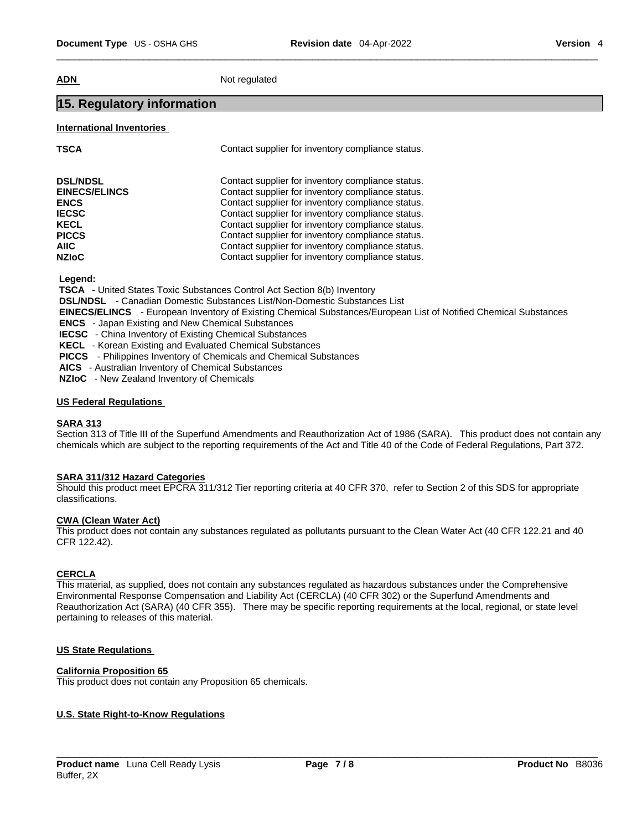**ADN** Not regulated

## **15. Regulatory information**

## **International Inventories**

| <b>TSCA</b>          | Contact supplier for inventory compliance status. |
|----------------------|---------------------------------------------------|
| <b>DSL/NDSL</b>      | Contact supplier for inventory compliance status. |
| <b>EINECS/ELINCS</b> | Contact supplier for inventory compliance status. |
| <b>ENCS</b>          | Contact supplier for inventory compliance status. |
| <b>IECSC</b>         | Contact supplier for inventory compliance status. |
| <b>KECL</b>          | Contact supplier for inventory compliance status. |
| <b>PICCS</b>         | Contact supplier for inventory compliance status. |
| <b>AIIC</b>          | Contact supplier for inventory compliance status. |
| <b>NZIoC</b>         | Contact supplier for inventory compliance status. |

 **Legend:** 

 **TSCA** - United States Toxic Substances Control Act Section 8(b) Inventory

 **DSL/NDSL** - Canadian Domestic Substances List/Non-Domestic Substances List

 **EINECS/ELINCS** - European Inventory of Existing Chemical Substances/European List of Notified Chemical Substances

 **ENCS** - Japan Existing and New Chemical Substances

 **IECSC** - China Inventory of Existing Chemical Substances

 **KECL** - Korean Existing and Evaluated Chemical Substances

 **PICCS** - Philippines Inventory of Chemicals and Chemical Substances

 **AICS** - Australian Inventory of Chemical Substances

 **NZIoC** - New Zealand Inventory of Chemicals

## **US Federal Regulations**

## **SARA 313**

Section 313 of Title III of the Superfund Amendments and Reauthorization Act of 1986 (SARA). This product does not contain any chemicals which are subject to the reporting requirements of the Act and Title 40 of the Code of Federal Regulations, Part 372.

## **SARA 311/312 Hazard Categories**

Should this product meet EPCRA 311/312 Tier reporting criteria at 40 CFR 370, refer to Section 2 of this SDS for appropriate classifications.

#### **CWA (Clean WaterAct)**

This product does not contain any substances regulated as pollutants pursuant to the Clean Water Act (40 CFR 122.21 and 40 CFR 122.42).

## **CERCLA**

This material, as supplied, does not contain any substances regulated as hazardous substances under the Comprehensive Environmental Response Compensation and Liability Act (CERCLA) (40 CFR 302) or the Superfund Amendments and Reauthorization Act (SARA) (40 CFR 355). There may be specific reporting requirements at the local, regional, or state level pertaining to releases of this material.

## **US State Regulations**

## **California Proposition 65**

This product does not contain any Proposition 65 chemicals.

## **U.S. State Right-to-Know Regulations**